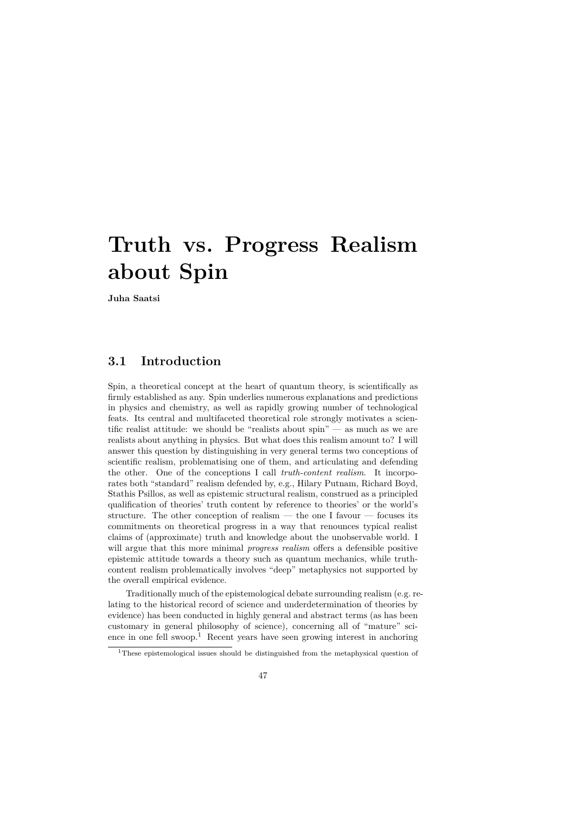# **Truth vs. Progress Realism about Spin**

**Juha Saatsi**

# **3.1 Introduction**

Spin, a theoretical concept at the heart of quantum theory, is scientifically as firmly established as any. Spin underlies numerous explanations and predictions in physics and chemistry, as well as rapidly growing number of technological feats. Its central and multifaceted theoretical role strongly motivates a scientific realist attitude: we should be "realists about spin" — as much as we are realists about anything in physics. But what does this realism amount to? I will answer this question by distinguishing in very general terms two conceptions of scientific realism, problematising one of them, and articulating and defending the other. One of the conceptions I call *truth-content realism*. It incorporates both "standard" realism defended by, e.g., Hilary Putnam, Richard Boyd, Stathis Psillos, as well as epistemic structural realism, construed as a principled qualification of theories' truth content by reference to theories' or the world's structure. The other conception of realism  $-$  the one I favour  $-$  focuses its commitments on theoretical progress in a way that renounces typical realist claims of (approximate) truth and knowledge about the unobservable world. I will argue that this more minimal *progress realism* offers a defensible positive epistemic attitude towards a theory such as quantum mechanics, while truthcontent realism problematically involves "deep" metaphysics not supported by the overall empirical evidence.

Traditionally much of the epistemological debate surrounding realism (e.g. relating to the historical record of science and underdetermination of theories by evidence) has been conducted in highly general and abstract terms (as has been customary in general philosophy of science), concerning all of "mature" science in one fell swoop.<sup>1</sup> Recent years have seen growing interest in anchoring

<sup>&</sup>lt;sup>1</sup>These epistemological issues should be distinguished from the metaphysical question of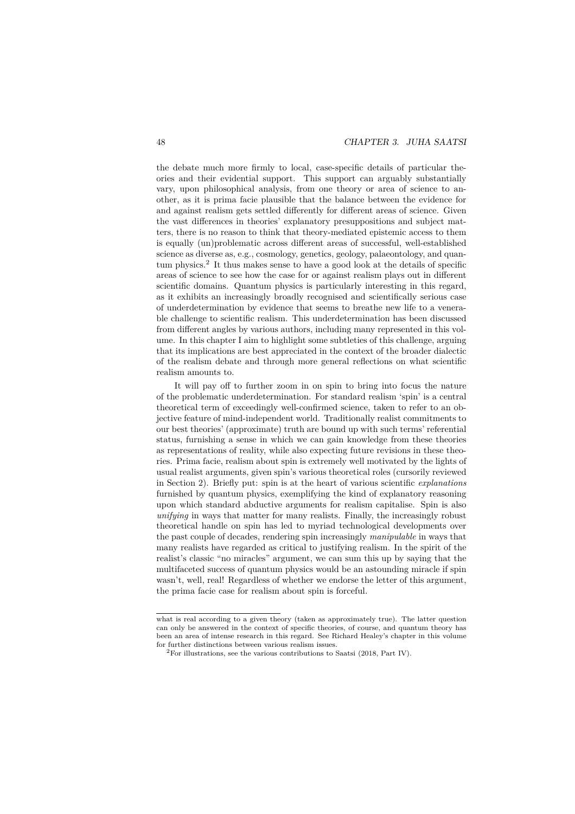the debate much more firmly to local, case-specific details of particular theories and their evidential support. This support can arguably substantially vary, upon philosophical analysis, from one theory or area of science to another, as it is prima facie plausible that the balance between the evidence for and against realism gets settled differently for different areas of science. Given the vast differences in theories' explanatory presuppositions and subject matters, there is no reason to think that theory-mediated epistemic access to them is equally (un)problematic across different areas of successful, well-established science as diverse as, e.g., cosmology, genetics, geology, palaeontology, and quantum physics.<sup>2</sup> It thus makes sense to have a good look at the details of specific areas of science to see how the case for or against realism plays out in different scientific domains. Quantum physics is particularly interesting in this regard, as it exhibits an increasingly broadly recognised and scientifically serious case of underdetermination by evidence that seems to breathe new life to a venerable challenge to scientific realism. This underdetermination has been discussed from different angles by various authors, including many represented in this volume. In this chapter I aim to highlight some subtleties of this challenge, arguing that its implications are best appreciated in the context of the broader dialectic of the realism debate and through more general reflections on what scientific realism amounts to.

It will pay off to further zoom in on spin to bring into focus the nature of the problematic underdetermination. For standard realism 'spin' is a central theoretical term of exceedingly well-confirmed science, taken to refer to an objective feature of mind-independent world. Traditionally realist commitments to our best theories' (approximate) truth are bound up with such terms' referential status, furnishing a sense in which we can gain knowledge from these theories as representations of reality, while also expecting future revisions in these theories. Prima facie, realism about spin is extremely well motivated by the lights of usual realist arguments, given spin's various theoretical roles (cursorily reviewed in Section 2). Briefly put: spin is at the heart of various scientific *explanations* furnished by quantum physics, exemplifying the kind of explanatory reasoning upon which standard abductive arguments for realism capitalise. Spin is also *unifying* in ways that matter for many realists. Finally, the increasingly robust theoretical handle on spin has led to myriad technological developments over the past couple of decades, rendering spin increasingly *manipulable* in ways that many realists have regarded as critical to justifying realism. In the spirit of the realist's classic "no miracles" argument, we can sum this up by saying that the multifaceted success of quantum physics would be an astounding miracle if spin wasn't, well, real! Regardless of whether we endorse the letter of this argument, the prima facie case for realism about spin is forceful.

what is real according to a given theory (taken as approximately true). The latter question can only be answered in the context of specific theories, of course, and quantum theory has been an area of intense research in this regard. See Richard Healey's chapter in this volume for further distinctions between various realism issues.

<sup>2</sup>For illustrations, see the various contributions to Saatsi (2018, Part IV).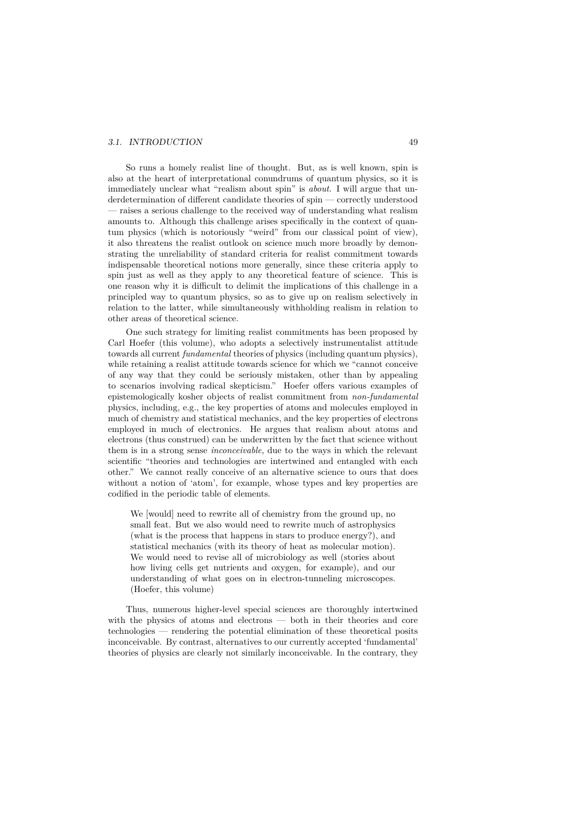#### *3.1. INTRODUCTION* 49

So runs a homely realist line of thought. But, as is well known, spin is also at the heart of interpretational conundrums of quantum physics, so it is immediately unclear what "realism about spin" is *about*. I will argue that underdetermination of different candidate theories of spin — correctly understood — raises a serious challenge to the received way of understanding what realism amounts to. Although this challenge arises specifically in the context of quantum physics (which is notoriously "weird" from our classical point of view), it also threatens the realist outlook on science much more broadly by demonstrating the unreliability of standard criteria for realist commitment towards indispensable theoretical notions more generally, since these criteria apply to spin just as well as they apply to any theoretical feature of science. This is one reason why it is difficult to delimit the implications of this challenge in a principled way to quantum physics, so as to give up on realism selectively in relation to the latter, while simultaneously withholding realism in relation to other areas of theoretical science.

One such strategy for limiting realist commitments has been proposed by Carl Hoefer (this volume), who adopts a selectively instrumentalist attitude towards all current *fundamental* theories of physics (including quantum physics), while retaining a realist attitude towards science for which we "cannot conceive of any way that they could be seriously mistaken, other than by appealing to scenarios involving radical skepticism." Hoefer offers various examples of epistemologically kosher objects of realist commitment from *non-fundamental* physics, including, e.g., the key properties of atoms and molecules employed in much of chemistry and statistical mechanics, and the key properties of electrons employed in much of electronics. He argues that realism about atoms and electrons (thus construed) can be underwritten by the fact that science without them is in a strong sense *inconceivable*, due to the ways in which the relevant scientific "theories and technologies are intertwined and entangled with each other." We cannot really conceive of an alternative science to ours that does without a notion of 'atom', for example, whose types and key properties are codified in the periodic table of elements.

We [would] need to rewrite all of chemistry from the ground up, no small feat. But we also would need to rewrite much of astrophysics (what is the process that happens in stars to produce energy?), and statistical mechanics (with its theory of heat as molecular motion). We would need to revise all of microbiology as well (stories about how living cells get nutrients and oxygen, for example), and our understanding of what goes on in electron-tunneling microscopes. (Hoefer, this volume)

Thus, numerous higher-level special sciences are thoroughly intertwined with the physics of atoms and electrons — both in their theories and core technologies — rendering the potential elimination of these theoretical posits inconceivable. By contrast, alternatives to our currently accepted 'fundamental' theories of physics are clearly not similarly inconceivable. In the contrary, they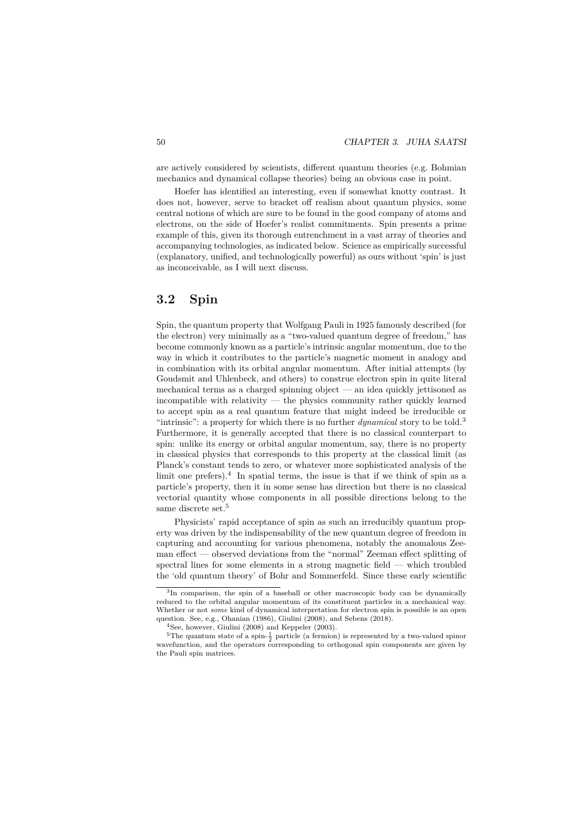are actively considered by scientists, different quantum theories (e.g. Bohmian mechanics and dynamical collapse theories) being an obvious case in point.

Hoefer has identified an interesting, even if somewhat knotty contrast. It does not, however, serve to bracket off realism about quantum physics, some central notions of which are sure to be found in the good company of atoms and electrons, on the side of Hoefer's realist commitments. Spin presents a prime example of this, given its thorough entrenchment in a vast array of theories and accompanying technologies, as indicated below. Science as empirically successful (explanatory, unified, and technologically powerful) as ours without 'spin' is just as inconceivable, as I will next discuss.

# **3.2 Spin**

Spin, the quantum property that Wolfgang Pauli in 1925 famously described (for the electron) very minimally as a "two-valued quantum degree of freedom," has become commonly known as a particle's intrinsic angular momentum, due to the way in which it contributes to the particle's magnetic moment in analogy and in combination with its orbital angular momentum. After initial attempts (by Goudsmit and Uhlenbeck, and others) to construe electron spin in quite literal mechanical terms as a charged spinning object — an idea quickly jettisoned as incompatible with relativity — the physics community rather quickly learned to accept spin as a real quantum feature that might indeed be irreducible or "intrinsic": a property for which there is no further *dynamical* story to be told.<sup>3</sup> Furthermore, it is generally accepted that there is no classical counterpart to spin: unlike its energy or orbital angular momentum, say, there is no property in classical physics that corresponds to this property at the classical limit (as Planck's constant tends to zero, or whatever more sophisticated analysis of the limit one prefers).<sup>4</sup> In spatial terms, the issue is that if we think of spin as a particle's property, then it in some sense has direction but there is no classical vectorial quantity whose components in all possible directions belong to the same discrete set.<sup>5</sup>

Physicists' rapid acceptance of spin as such an irreducibly quantum property was driven by the indispensability of the new quantum degree of freedom in capturing and accounting for various phenomena, notably the anomalous Zeeman effect — observed deviations from the "normal" Zeeman effect splitting of spectral lines for some elements in a strong magnetic field — which troubled the 'old quantum theory' of Bohr and Sommerfeld. Since these early scientific

<sup>&</sup>lt;sup>3</sup>In comparison, the spin of a baseball or other macroscopic body can be dynamically reduced to the orbital angular momentum of its constituent particles in a mechanical way. Whether or not *some* kind of dynamical interpretation for electron spin is possible is an open question. See, e.g., Ohanian (1986), Giulini (2008), and Sebens (2018).

<sup>4</sup>See, however, Giulini (2008) and Keppeler (2003).

<sup>&</sup>lt;sup>5</sup>The quantum state of a spin- $\frac{1}{2}$  particle (a fermion) is represented by a two-valued spinor wavefunction, and the operators corresponding to orthogonal spin components are given by the Pauli spin matrices.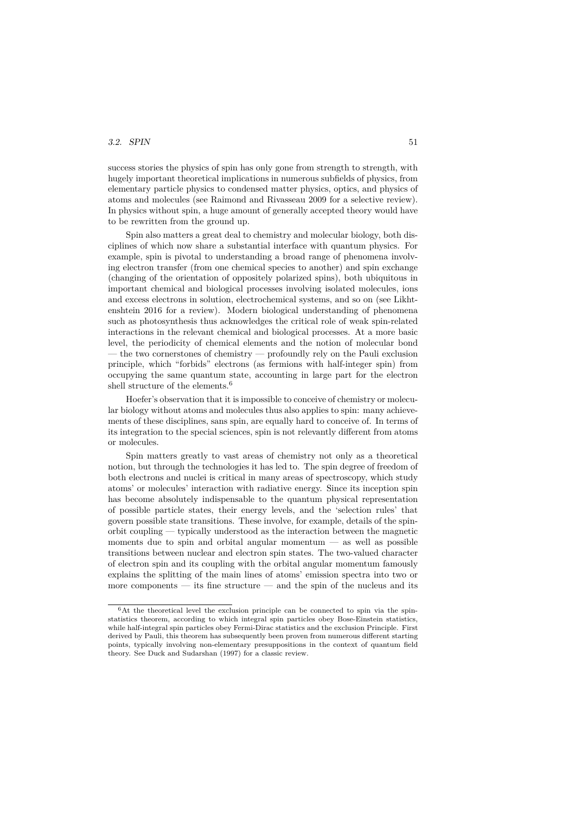#### **3.2. SPIN** 51

success stories the physics of spin has only gone from strength to strength, with hugely important theoretical implications in numerous subfields of physics, from elementary particle physics to condensed matter physics, optics, and physics of atoms and molecules (see Raimond and Rivasseau 2009 for a selective review). In physics without spin, a huge amount of generally accepted theory would have to be rewritten from the ground up.

Spin also matters a great deal to chemistry and molecular biology, both disciplines of which now share a substantial interface with quantum physics. For example, spin is pivotal to understanding a broad range of phenomena involving electron transfer (from one chemical species to another) and spin exchange (changing of the orientation of oppositely polarized spins), both ubiquitous in important chemical and biological processes involving isolated molecules, ions and excess electrons in solution, electrochemical systems, and so on (see Likhtenshtein 2016 for a review). Modern biological understanding of phenomena such as photosynthesis thus acknowledges the critical role of weak spin-related interactions in the relevant chemical and biological processes. At a more basic level, the periodicity of chemical elements and the notion of molecular bond — the two cornerstones of chemistry — profoundly rely on the Pauli exclusion principle, which "forbids" electrons (as fermions with half-integer spin) from occupying the same quantum state, accounting in large part for the electron shell structure of the elements.<sup>6</sup>

Hoefer's observation that it is impossible to conceive of chemistry or molecular biology without atoms and molecules thus also applies to spin: many achievements of these disciplines, sans spin, are equally hard to conceive of. In terms of its integration to the special sciences, spin is not relevantly different from atoms or molecules.

Spin matters greatly to vast areas of chemistry not only as a theoretical notion, but through the technologies it has led to. The spin degree of freedom of both electrons and nuclei is critical in many areas of spectroscopy, which study atoms' or molecules' interaction with radiative energy. Since its inception spin has become absolutely indispensable to the quantum physical representation of possible particle states, their energy levels, and the 'selection rules' that govern possible state transitions. These involve, for example, details of the spinorbit coupling — typically understood as the interaction between the magnetic moments due to spin and orbital angular momentum  $-$  as well as possible transitions between nuclear and electron spin states. The two-valued character of electron spin and its coupling with the orbital angular momentum famously explains the splitting of the main lines of atoms' emission spectra into two or more components — its fine structure — and the spin of the nucleus and its

 $6$ At the theoretical level the exclusion principle can be connected to spin via the spinstatistics theorem, according to which integral spin particles obey Bose-Einstein statistics, while half-integral spin particles obey Fermi-Dirac statistics and the exclusion Principle. First derived by Pauli, this theorem has subsequently been proven from numerous different starting points, typically involving non-elementary presuppositions in the context of quantum field theory. See Duck and Sudarshan (1997) for a classic review.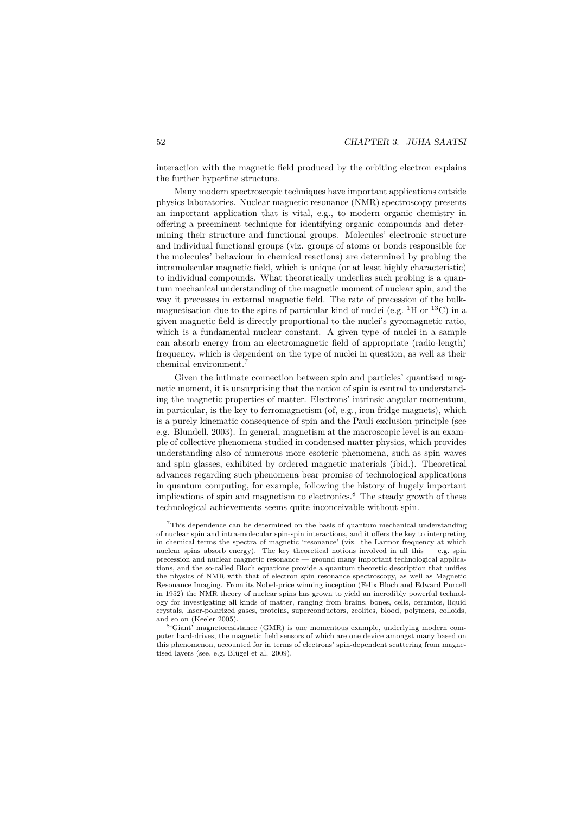interaction with the magnetic field produced by the orbiting electron explains the further hyperfine structure.

Many modern spectroscopic techniques have important applications outside physics laboratories. Nuclear magnetic resonance (NMR) spectroscopy presents an important application that is vital, e.g., to modern organic chemistry in offering a preeminent technique for identifying organic compounds and determining their structure and functional groups. Molecules' electronic structure and individual functional groups (viz. groups of atoms or bonds responsible for the molecules' behaviour in chemical reactions) are determined by probing the intramolecular magnetic field, which is unique (or at least highly characteristic) to individual compounds. What theoretically underlies such probing is a quantum mechanical understanding of the magnetic moment of nuclear spin, and the way it precesses in external magnetic field. The rate of precession of the bulkmagnetisation due to the spins of particular kind of nuclei (e.g.  $^{1}$ H or  $^{13}$ C) in a given magnetic field is directly proportional to the nuclei's gyromagnetic ratio, which is a fundamental nuclear constant. A given type of nuclei in a sample can absorb energy from an electromagnetic field of appropriate (radio-length) frequency, which is dependent on the type of nuclei in question, as well as their chemical environment.<sup>7</sup>

Given the intimate connection between spin and particles' quantised magnetic moment, it is unsurprising that the notion of spin is central to understanding the magnetic properties of matter. Electrons' intrinsic angular momentum, in particular, is the key to ferromagnetism (of, e.g., iron fridge magnets), which is a purely kinematic consequence of spin and the Pauli exclusion principle (see e.g. Blundell, 2003). In general, magnetism at the macroscopic level is an example of collective phenomena studied in condensed matter physics, which provides understanding also of numerous more esoteric phenomena, such as spin waves and spin glasses, exhibited by ordered magnetic materials (ibid.). Theoretical advances regarding such phenomena bear promise of technological applications in quantum computing, for example, following the history of hugely important implications of spin and magnetism to electronics.<sup>8</sup> The steady growth of these technological achievements seems quite inconceivable without spin.

<sup>7</sup>This dependence can be determined on the basis of quantum mechanical understanding of nuclear spin and intra-molecular spin-spin interactions, and it offers the key to interpreting in chemical terms the spectra of magnetic 'resonance' (viz. the Larmor frequency at which nuclear spins absorb energy). The key theoretical notions involved in all this  $-e.g.$  spin precession and nuclear magnetic resonance — ground many important technological applications, and the so-called Bloch equations provide a quantum theoretic description that unifies the physics of NMR with that of electron spin resonance spectroscopy, as well as Magnetic Resonance Imaging. From its Nobel-price winning inception (Felix Bloch and Edward Purcell in 1952) the NMR theory of nuclear spins has grown to yield an incredibly powerful technology for investigating all kinds of matter, ranging from brains, bones, cells, ceramics, liquid crystals, laser-polarized gases, proteins, superconductors, zeolites, blood, polymers, colloids, and so on (Keeler 2005).

 $8'$ Giant' magnetoresistance (GMR) is one momentous example, underlying modern computer hard-drives, the magnetic field sensors of which are one device amongst many based on this phenomenon, accounted for in terms of electrons' spin-dependent scattering from magnetised layers (see. e.g. Blügel et al. 2009).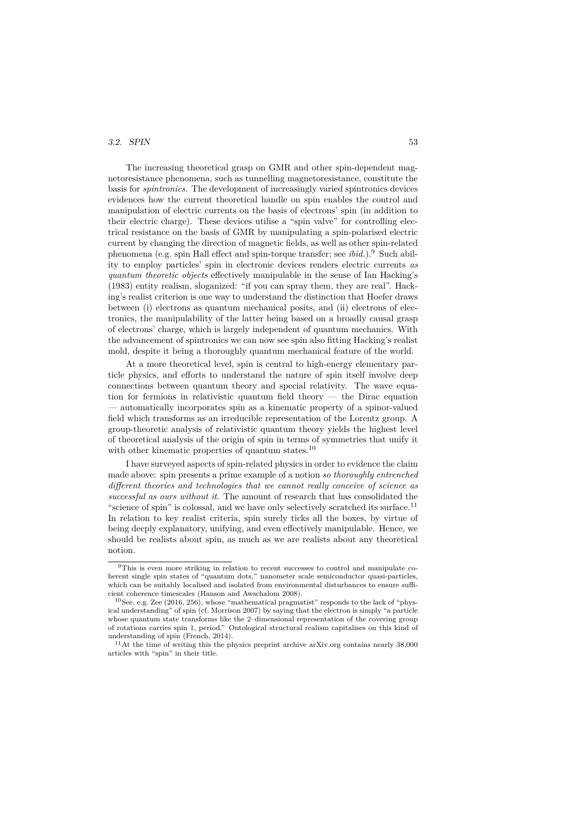#### **3.2. SPIN** 53

The increasing theoretical grasp on GMR and other spin-dependent magnetoresistance phenomena, such as tunnelling magnetoresistance, constitute the basis for *spintronics*. The development of increasingly varied spintronics devices evidences how the current theoretical handle on spin enables the control and manipulation of electric currents on the basis of electrons' spin (in addition to their electric charge). These devices utilise a "spin valve" for controlling electrical resistance on the basis of GMR by manipulating a spin-polarised electric current by changing the direction of magnetic fields, as well as other spin-related phenomena (e.g. spin Hall effect and spin-torque transfer; see *ibid.*).<sup>9</sup> Such ability to employ particles' spin in electronic devices renders electric currents *as quantum theoretic objects* effectively manipulable in the sense of Ian Hacking's (1983) entity realism, sloganized: "if you can spray them, they are real". Hacking's realist criterion is one way to understand the distinction that Hoefer draws between (i) electrons as quantum mechanical posits, and (ii) electrons of electronics, the manipulability of the latter being based on a broadly causal grasp of electrons' charge, which is largely independent of quantum mechanics. With the advancement of spintronics we can now see spin also fitting Hacking's realist mold, despite it being a thoroughly quantum mechanical feature of the world.

At a more theoretical level, spin is central to high-energy elementary particle physics, and efforts to understand the nature of spin itself involve deep connections between quantum theory and special relativity. The wave equation for fermions in relativistic quantum field theory — the Dirac equation — automatically incorporates spin as a kinematic property of a spinor-valued field which transforms as an irreducible representation of the Lorentz group. A group-theoretic analysis of relativistic quantum theory yields the highest level of theoretical analysis of the origin of spin in terms of symmetries that unify it with other kinematic properties of quantum states.<sup>10</sup>

I have surveyed aspects of spin-related physics in order to evidence the claim made above: spin presents a prime example of a notion *so thoroughly entrenched* different theories and technologies that we cannot really conceive of science as *successful as ours without it*. The amount of research that has consolidated the "science of spin" is colossal, and we have only selectively scratched its surface.<sup>11</sup> In relation to key realist criteria, spin surely ticks all the boxes, by virtue of being deeply explanatory, unifying, and even effectively manipulable. Hence, we should be realists about spin, as much as we are realists about any theoretical notion.

<sup>9</sup>This is even more striking in relation to recent successes to control and manipulate coherent single spin states of "quantum dots," nanometer scale semiconductor quasi-particles, which can be suitably localised and isolated from environmental disturbances to ensure sufficient coherence timescales (Hanson and Awschalom 2008).

 $10$ See, e.g. Zee (2016, 256), whose "mathematical pragmatist" responds to the lack of "physical understanding" of spin (cf. Morrison 2007) by saying that the electron is simply "a particle whose quantum state transforms like the 2–dimensional representation of the covering group of rotations carries spin 1, period." Ontological structural realism capitalises on this kind of

understanding of spin (French, 2014).<br> $11\,\text{At}$  the time of writing this the physics preprint archive arXiv.org contains nearly 38,000 articles with "spin" in their title.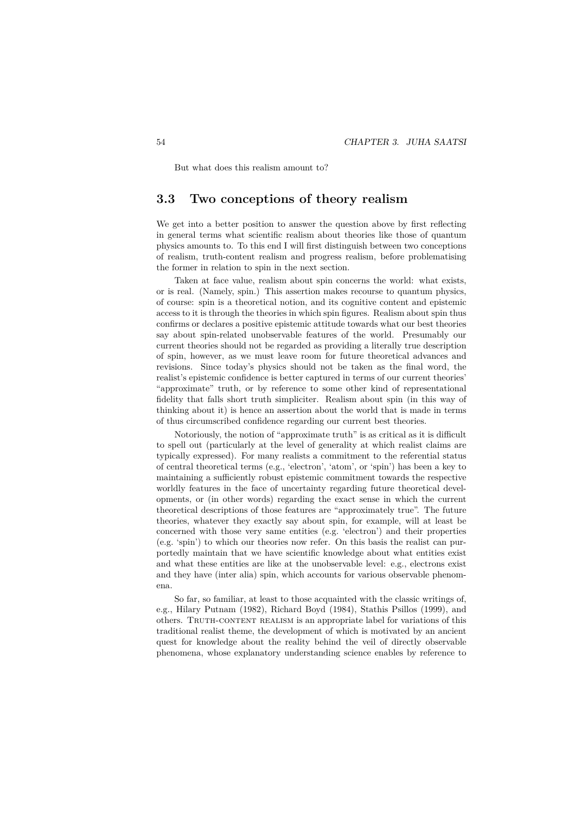But what does this realism amount to?

## **3.3 Two conceptions of theory realism**

We get into a better position to answer the question above by first reflecting in general terms what scientific realism about theories like those of quantum physics amounts to. To this end I will first distinguish between two conceptions of realism, truth-content realism and progress realism, before problematising the former in relation to spin in the next section.

Taken at face value, realism about spin concerns the world: what exists, or is real. (Namely, spin.) This assertion makes recourse to quantum physics, of course: spin is a theoretical notion, and its cognitive content and epistemic access to it is through the theories in which spin figures. Realism about spin thus confirms or declares a positive epistemic attitude towards what our best theories say about spin-related unobservable features of the world. Presumably our current theories should not be regarded as providing a literally true description of spin, however, as we must leave room for future theoretical advances and revisions. Since today's physics should not be taken as the final word, the realist's epistemic confidence is better captured in terms of our current theories' "approximate" truth, or by reference to some other kind of representational fidelity that falls short truth simpliciter. Realism about spin (in this way of thinking about it) is hence an assertion about the world that is made in terms of thus circumscribed confidence regarding our current best theories.

Notoriously, the notion of "approximate truth" is as critical as it is difficult to spell out (particularly at the level of generality at which realist claims are typically expressed). For many realists a commitment to the referential status of central theoretical terms (e.g., 'electron', 'atom', or 'spin') has been a key to maintaining a sufficiently robust epistemic commitment towards the respective worldly features in the face of uncertainty regarding future theoretical developments, or (in other words) regarding the exact sense in which the current theoretical descriptions of those features are "approximately true". The future theories, whatever they exactly say about spin, for example, will at least be concerned with those very same entities (e.g. 'electron') and their properties (e.g. 'spin') to which our theories now refer. On this basis the realist can purportedly maintain that we have scientific knowledge about what entities exist and what these entities are like at the unobservable level: e.g., electrons exist and they have (inter alia) spin, which accounts for various observable phenomena.

So far, so familiar, at least to those acquainted with the classic writings of, e.g., Hilary Putnam (1982), Richard Boyd (1984), Stathis Psillos (1999), and others. Truth-content realism is an appropriate label for variations of this traditional realist theme, the development of which is motivated by an ancient quest for knowledge about the reality behind the veil of directly observable phenomena, whose explanatory understanding science enables by reference to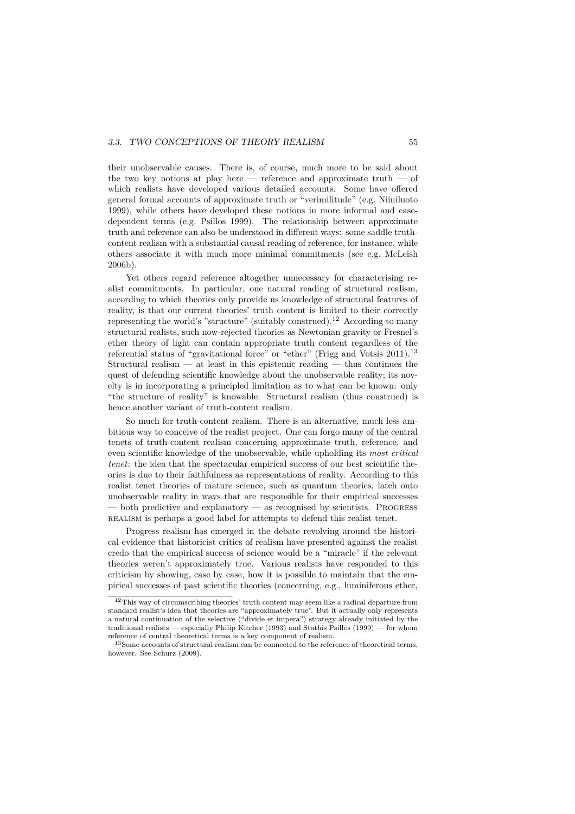their unobservable causes. There is, of course, much more to be said about the two key notions at play here  $-$  reference and approximate truth  $-$  of which realists have developed various detailed accounts. Some have offered general formal accounts of approximate truth or "verimilitude" (e.g. Niiniluoto 1999), while others have developed these notions in more informal and casedependent terms (e.g. Psillos 1999). The relationship between approximate truth and reference can also be understood in different ways: some saddle truthcontent realism with a substantial causal reading of reference, for instance, while others associate it with much more minimal commitments (see e.g. McLeish 2006b).

Yet others regard reference altogether unnecessary for characterising realist commitments. In particular, one natural reading of structural realism, according to which theories only provide us knowledge of structural features of reality, is that our current theories' truth content is limited to their correctly representing the world's "structure" (suitably construed).<sup>12</sup> According to many structural realists, such now-rejected theories as Newtonian gravity or Fresnel's ether theory of light can contain appropriate truth content regardless of the referential status of "gravitational force" or "ether" (Frigg and Votsis 2011).<sup>13</sup> Structural realism — at least in this epistemic reading — thus continues the quest of defending scientific knowledge about the unobservable reality; its novelty is in incorporating a principled limitation as to what can be known: only "the structure of reality" is knowable. Structural realism (thus construed) is hence another variant of truth-content realism.

So much for truth-content realism. There is an alternative, much less ambitious way to conceive of the realist project. One can forgo many of the central tenets of truth-content realism concerning approximate truth, reference, and even scientific knowledge of the unobservable, while upholding its *most critical tenet*: the idea that the spectacular empirical success of our best scientific theories is due to their faithfulness as representations of reality. According to this realist tenet theories of mature science, such as quantum theories, latch onto unobservable reality in ways that are responsible for their empirical successes  $-$  both predictive and explanatory  $-$  as recognised by scientists. PROGRESS realism is perhaps a good label for attempts to defend this realist tenet.

Progress realism has emerged in the debate revolving around the historical evidence that historicist critics of realism have presented against the realist credo that the empirical success of science would be a "miracle" if the relevant theories weren't approximately true. Various realists have responded to this criticism by showing, case by case, how it is possible to maintain that the empirical successes of past scientific theories (concerning, e.g., luminiferous ether,

<sup>12</sup>This way of circumscribing theories' truth content may seem like a radical departure from standard realist's idea that theories are "approximately true". But it actually only represents a natural continuation of the selective ("divide et impera") strategy already initiated by the traditional realists — especially Philip Kitcher (1993) and Stathis Psillos (1999) — for whom reference of central theoretical terms is a key component of realism.

 $13$ Some accounts of structural realism can be connected to the reference of theoretical terms, however. See Schurz (2009).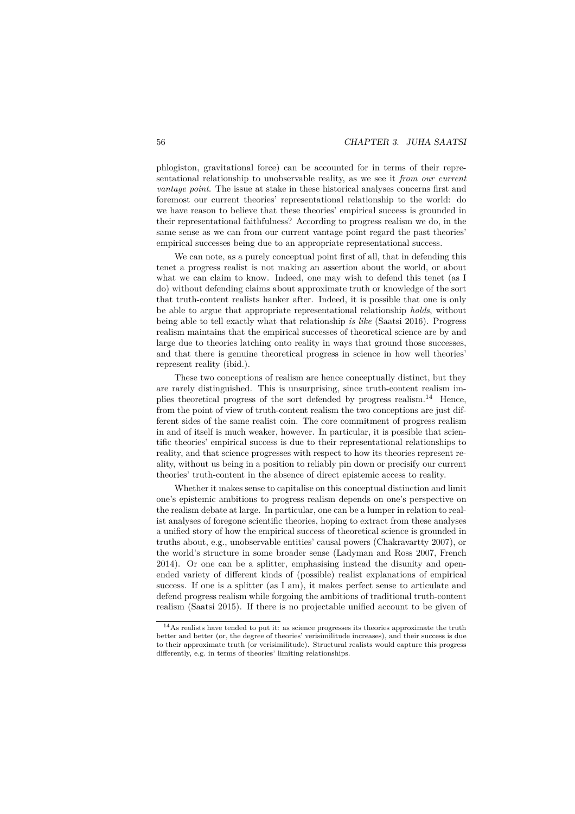phlogiston, gravitational force) can be accounted for in terms of their representational relationship to unobservable reality, as we see it *from our current vantage point*. The issue at stake in these historical analyses concerns first and foremost our current theories' representational relationship to the world: do we have reason to believe that these theories' empirical success is grounded in their representational faithfulness? According to progress realism we do, in the same sense as we can from our current vantage point regard the past theories' empirical successes being due to an appropriate representational success.

We can note, as a purely conceptual point first of all, that in defending this tenet a progress realist is not making an assertion about the world, or about what we can claim to know. Indeed, one may wish to defend this tenet (as I do) without defending claims about approximate truth or knowledge of the sort that truth-content realists hanker after. Indeed, it is possible that one is only be able to argue that appropriate representational relationship *holds*, without being able to tell exactly what that relationship *is like* (Saatsi 2016). Progress realism maintains that the empirical successes of theoretical science are by and large due to theories latching onto reality in ways that ground those successes, and that there is genuine theoretical progress in science in how well theories' represent reality (ibid.).

These two conceptions of realism are hence conceptually distinct, but they are rarely distinguished. This is unsurprising, since truth-content realism implies theoretical progress of the sort defended by progress realism.<sup>14</sup> Hence, from the point of view of truth-content realism the two conceptions are just different sides of the same realist coin. The core commitment of progress realism in and of itself is much weaker, however. In particular, it is possible that scientific theories' empirical success is due to their representational relationships to reality, and that science progresses with respect to how its theories represent reality, without us being in a position to reliably pin down or precisify our current theories' truth-content in the absence of direct epistemic access to reality.

Whether it makes sense to capitalise on this conceptual distinction and limit one's epistemic ambitions to progress realism depends on one's perspective on the realism debate at large. In particular, one can be a lumper in relation to realist analyses of foregone scientific theories, hoping to extract from these analyses a unified story of how the empirical success of theoretical science is grounded in truths about, e.g., unobservable entities' causal powers (Chakravartty 2007), or the world's structure in some broader sense (Ladyman and Ross 2007, French 2014). Or one can be a splitter, emphasising instead the disunity and openended variety of different kinds of (possible) realist explanations of empirical success. If one is a splitter (as I am), it makes perfect sense to articulate and defend progress realism while forgoing the ambitions of traditional truth-content realism (Saatsi 2015). If there is no projectable unified account to be given of

<sup>&</sup>lt;sup>14</sup>As realists have tended to put it: as science progresses its theories approximate the truth better and better (or, the degree of theories' verisimilitude increases), and their success is due to their approximate truth (or verisimilitude). Structural realists would capture this progress differently, e.g. in terms of theories' limiting relationships.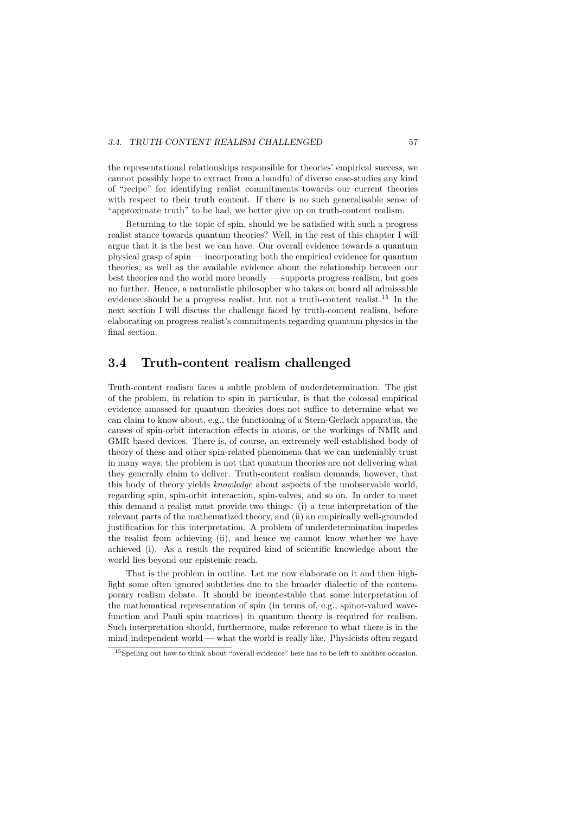the representational relationships responsible for theories' empirical success, we cannot possibly hope to extract from a handful of diverse case-studies any kind of "recipe" for identifying realist commitments towards our current theories with respect to their truth content. If there is no such generalisable sense of "approximate truth" to be had, we better give up on truth-content realism.

Returning to the topic of spin, should we be satisfied with such a progress realist stance towards quantum theories? Well, in the rest of this chapter I will argue that it is the best we can have. Our overall evidence towards a quantum physical grasp of spin — incorporating both the empirical evidence for quantum theories, as well as the available evidence about the relationship between our best theories and the world more broadly — supports progress realism, but goes no further. Hence, a naturalistic philosopher who takes on board all admissable evidence should be a progress realist, but not a truth-content realist.<sup>15</sup> In the next section I will discuss the challenge faced by truth-content realism, before elaborating on progress realist's commitments regarding quantum physics in the final section.

## **3.4 Truth-content realism challenged**

Truth-content realism faces a subtle problem of underdetermination. The gist of the problem, in relation to spin in particular, is that the colossal empirical evidence amassed for quantum theories does not suffice to determine what we can claim to know about, e.g., the functioning of a Stern-Gerlach apparatus, the causes of spin-orbit interaction effects in atoms, or the workings of NMR and GMR based devices. There is, of course, an extremely well-established body of theory of these and other spin-related phenomena that we can undeniably trust in many ways; the problem is not that quantum theories are not delivering what they generally claim to deliver. Truth-content realism demands, however, that this body of theory yields *knowledge* about aspects of the unobservable world, regarding spin, spin-orbit interaction, spin-valves, and so on. In order to meet this demand a realist must provide two things: (i) a true interpretation of the relevant parts of the mathematized theory, and (ii) an empirically well-grounded justification for this interpretation. A problem of underdetermination impedes the realist from achieving (ii), and hence we cannot know whether we have achieved (i). As a result the required kind of scientific knowledge about the world lies beyond our epistemic reach.

That is the problem in outline. Let me now elaborate on it and then highlight some often ignored subtleties due to the broader dialectic of the contemporary realism debate. It should be incontestable that some interpretation of the mathematical representation of spin (in terms of, e.g., spinor-valued wavefunction and Pauli spin matrices) in quantum theory is required for realism. Such interpretation should, furthermore, make reference to what there is in the mind-independent world — what the world is really like. Physicists often regard

<sup>15</sup>Spelling out how to think about "overall evidence" here has to be left to another occasion.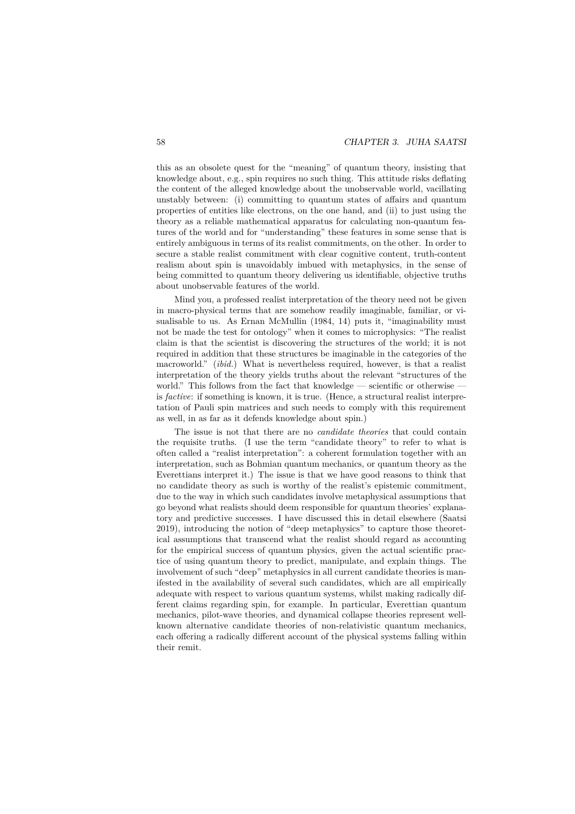this as an obsolete quest for the "meaning" of quantum theory, insisting that knowledge about, e.g., spin requires no such thing. This attitude risks deflating the content of the alleged knowledge about the unobservable world, vacillating unstably between: (i) committing to quantum states of affairs and quantum properties of entities like electrons, on the one hand, and (ii) to just using the theory as a reliable mathematical apparatus for calculating non-quantum features of the world and for "understanding" these features in some sense that is entirely ambiguous in terms of its realist commitments, on the other. In order to secure a stable realist commitment with clear cognitive content, truth-content realism about spin is unavoidably imbued with metaphysics, in the sense of being committed to quantum theory delivering us identifiable, objective truths about unobservable features of the world.

Mind you, a professed realist interpretation of the theory need not be given in macro-physical terms that are somehow readily imaginable, familiar, or visualisable to us. As Ernan McMullin (1984, 14) puts it, "imaginability must not be made the test for ontology" when it comes to microphysics: "The realist claim is that the scientist is discovering the structures of the world; it is not required in addition that these structures be imaginable in the categories of the macroworld." (*ibid.*) What is nevertheless required, however, is that a realist interpretation of the theory yields truths about the relevant "structures of the world." This follows from the fact that knowledge — scientific or otherwise is *factive*: if something is known, it is true. (Hence, a structural realist interpretation of Pauli spin matrices and such needs to comply with this requirement as well, in as far as it defends knowledge about spin.)

The issue is not that there are no *candidate theories* that could contain the requisite truths. (I use the term "candidate theory" to refer to what is often called a "realist interpretation": a coherent formulation together with an interpretation, such as Bohmian quantum mechanics, or quantum theory as the Everettians interpret it.) The issue is that we have good reasons to think that no candidate theory as such is worthy of the realist's epistemic commitment, due to the way in which such candidates involve metaphysical assumptions that go beyond what realists should deem responsible for quantum theories' explanatory and predictive successes. I have discussed this in detail elsewhere (Saatsi 2019), introducing the notion of "deep metaphysics" to capture those theoretical assumptions that transcend what the realist should regard as accounting for the empirical success of quantum physics, given the actual scientific practice of using quantum theory to predict, manipulate, and explain things. The involvement of such "deep" metaphysics in all current candidate theories is manifested in the availability of several such candidates, which are all empirically adequate with respect to various quantum systems, whilst making radically different claims regarding spin, for example. In particular, Everettian quantum mechanics, pilot-wave theories, and dynamical collapse theories represent wellknown alternative candidate theories of non-relativistic quantum mechanics, each offering a radically different account of the physical systems falling within their remit.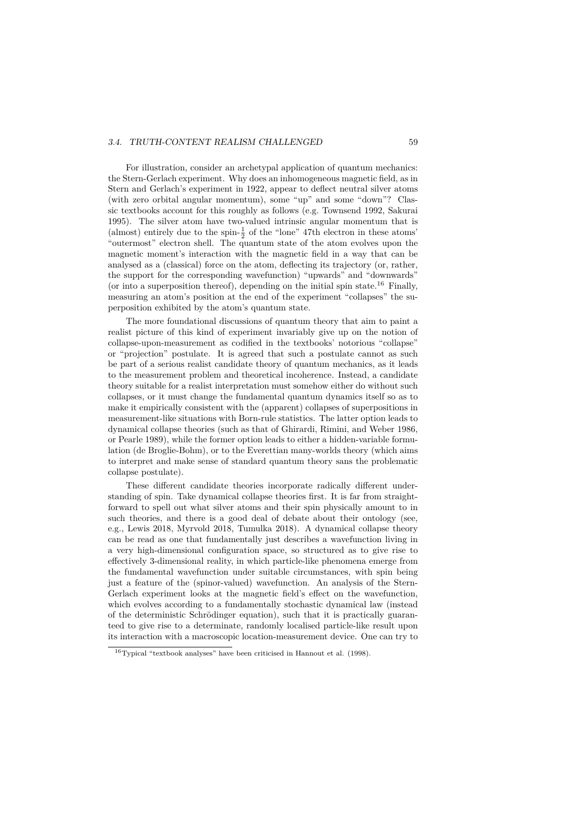#### *3.4. TRUTH-CONTENT REALISM CHALLENGED* 59

For illustration, consider an archetypal application of quantum mechanics: the Stern-Gerlach experiment. Why does an inhomogeneous magnetic field, as in Stern and Gerlach's experiment in 1922, appear to deflect neutral silver atoms (with zero orbital angular momentum), some "up" and some "down"? Classic textbooks account for this roughly as follows (e.g. Townsend 1992, Sakurai 1995). The silver atom have two-valued intrinsic angular momentum that is (almost) entirely due to the spin- $\frac{1}{2}$  of the "lone" 47th electron in these atoms' "outermost" electron shell. The quantum state of the atom evolves upon the magnetic moment's interaction with the magnetic field in a way that can be analysed as a (classical) force on the atom, deflecting its trajectory (or, rather, the support for the corresponding wavefunction) "upwards" and "downwards" (or into a superposition thereof), depending on the initial spin state.<sup>16</sup> Finally, measuring an atom's position at the end of the experiment "collapses" the superposition exhibited by the atom's quantum state.

The more foundational discussions of quantum theory that aim to paint a realist picture of this kind of experiment invariably give up on the notion of collapse-upon-measurement as codified in the textbooks' notorious "collapse" or "projection" postulate. It is agreed that such a postulate cannot as such be part of a serious realist candidate theory of quantum mechanics, as it leads to the measurement problem and theoretical incoherence. Instead, a candidate theory suitable for a realist interpretation must somehow either do without such collapses, or it must change the fundamental quantum dynamics itself so as to make it empirically consistent with the (apparent) collapses of superpositions in measurement-like situations with Born-rule statistics. The latter option leads to dynamical collapse theories (such as that of Ghirardi, Rimini, and Weber 1986, or Pearle 1989), while the former option leads to either a hidden-variable formulation (de Broglie-Bohm), or to the Everettian many-worlds theory (which aims to interpret and make sense of standard quantum theory sans the problematic collapse postulate).

These different candidate theories incorporate radically different understanding of spin. Take dynamical collapse theories first. It is far from straightforward to spell out what silver atoms and their spin physically amount to in such theories, and there is a good deal of debate about their ontology (see, e.g., Lewis 2018, Myrvold 2018, Tumulka 2018). A dynamical collapse theory can be read as one that fundamentally just describes a wavefunction living in a very high-dimensional configuration space, so structured as to give rise to effectively 3-dimensional reality, in which particle-like phenomena emerge from the fundamental wavefunction under suitable circumstances, with spin being just a feature of the (spinor-valued) wavefunction. An analysis of the Stern-Gerlach experiment looks at the magnetic field's effect on the wavefunction, which evolves according to a fundamentally stochastic dynamical law (instead of the deterministic Schrödinger equation), such that it is practically guaranteed to give rise to a determinate, randomly localised particle-like result upon its interaction with a macroscopic location-measurement device. One can try to

<sup>16</sup>Typical "textbook analyses" have been criticised in Hannout et al. (1998).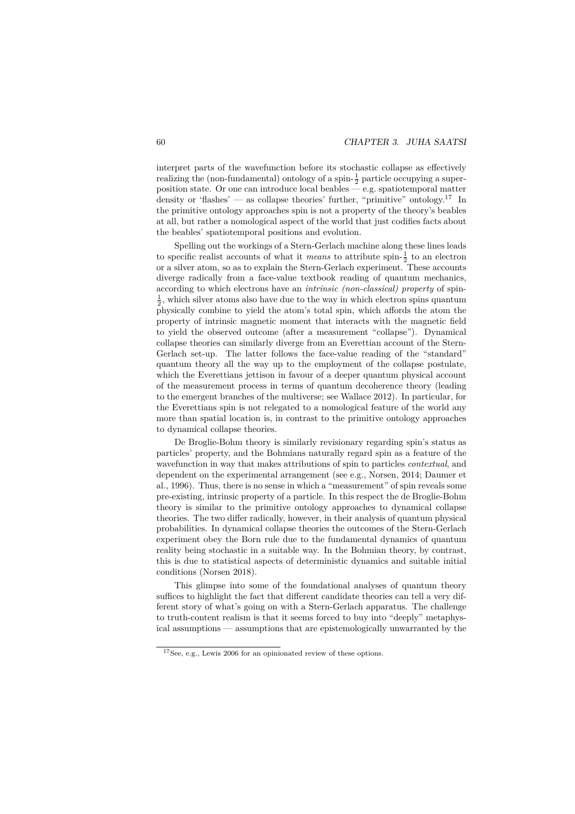interpret parts of the wavefunction before its stochastic collapse as effectively realizing the (non-fundamental) ontology of a spin- $\frac{1}{2}$  particle occupying a superposition state. Or one can introduce local beables — e.g. spatiotemporal matter density or 'flashes' — as collapse theories' further, "primitive" ontology.<sup>17</sup> In the primitive ontology approaches spin is not a property of the theory's beables at all, but rather a nomological aspect of the world that just codifies facts about the beables' spatiotemporal positions and evolution.

Spelling out the workings of a Stern-Gerlach machine along these lines leads to specific realist accounts of what it *means* to attribute spin- $\frac{1}{2}$  to an electron or a silver atom, so as to explain the Stern-Gerlach experiment. These accounts diverge radically from a face-value textbook reading of quantum mechanics, according to which electrons have an *intrinsic (non-classical) property* of spin-  $\frac{1}{2}$ , which silver atoms also have due to the way in which electron spins quantum physically combine to yield the atom's total spin, which affords the atom the property of intrinsic magnetic moment that interacts with the magnetic field to yield the observed outcome (after a measurement "collapse"). Dynamical collapse theories can similarly diverge from an Everettian account of the Stern-Gerlach set-up. The latter follows the face-value reading of the "standard" quantum theory all the way up to the employment of the collapse postulate, which the Everettians jettison in favour of a deeper quantum physical account of the measurement process in terms of quantum decoherence theory (leading to the emergent branches of the multiverse; see Wallace 2012). In particular, for the Everettians spin is not relegated to a nomological feature of the world any more than spatial location is, in contrast to the primitive ontology approaches to dynamical collapse theories.

De Broglie-Bohm theory is similarly revisionary regarding spin's status as particles' property, and the Bohmians naturally regard spin as a feature of the wavefunction in way that makes attributions of spin to particles *contextual*, and dependent on the experimental arrangement (see e.g., Norsen, 2014; Daumer et al., 1996). Thus, there is no sense in which a "measurement" of spin reveals some pre-existing, intrinsic property of a particle. In this respect the de Broglie-Bohm theory is similar to the primitive ontology approaches to dynamical collapse theories. The two differ radically, however, in their analysis of quantum physical probabilities. In dynamical collapse theories the outcomes of the Stern-Gerlach experiment obey the Born rule due to the fundamental dynamics of quantum reality being stochastic in a suitable way. In the Bohmian theory, by contrast, this is due to statistical aspects of deterministic dynamics and suitable initial conditions (Norsen 2018).

This glimpse into some of the foundational analyses of quantum theory suffices to highlight the fact that different candidate theories can tell a very different story of what's going on with a Stern-Gerlach apparatus. The challenge to truth-content realism is that it seems forced to buy into "deeply" metaphysical assumptions — assumptions that are epistemologically unwarranted by the

<sup>17</sup>See, e.g., Lewis 2006 for an opinionated review of these options.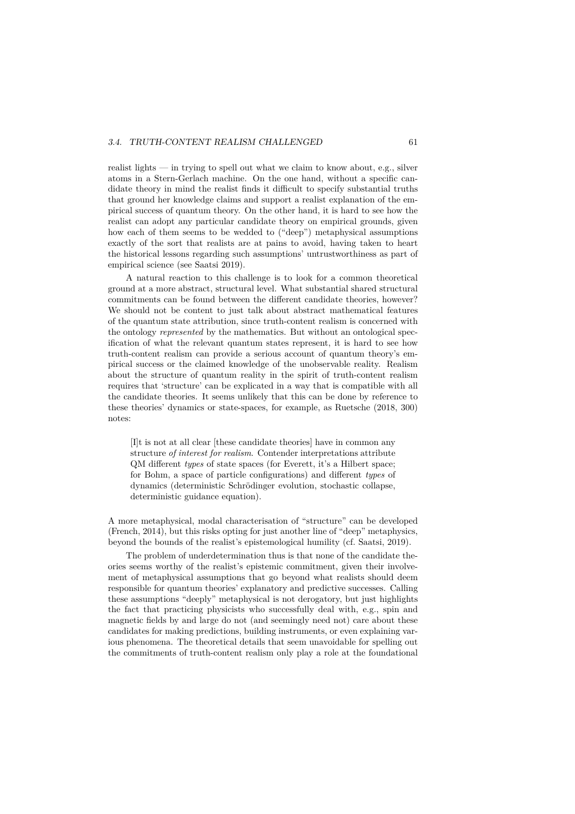realist lights — in trying to spell out what we claim to know about, e.g., silver atoms in a Stern-Gerlach machine. On the one hand, without a specific candidate theory in mind the realist finds it difficult to specify substantial truths that ground her knowledge claims and support a realist explanation of the empirical success of quantum theory. On the other hand, it is hard to see how the realist can adopt any particular candidate theory on empirical grounds, given how each of them seems to be wedded to ("deep") metaphysical assumptions exactly of the sort that realists are at pains to avoid, having taken to heart the historical lessons regarding such assumptions' untrustworthiness as part of empirical science (see Saatsi 2019).

A natural reaction to this challenge is to look for a common theoretical ground at a more abstract, structural level. What substantial shared structural commitments can be found between the different candidate theories, however? We should not be content to just talk about abstract mathematical features of the quantum state attribution, since truth-content realism is concerned with the ontology *represented* by the mathematics. But without an ontological specification of what the relevant quantum states represent, it is hard to see how truth-content realism can provide a serious account of quantum theory's empirical success or the claimed knowledge of the unobservable reality. Realism about the structure of quantum reality in the spirit of truth-content realism requires that 'structure' can be explicated in a way that is compatible with all the candidate theories. It seems unlikely that this can be done by reference to these theories' dynamics or state-spaces, for example, as Ruetsche (2018, 300) notes:

[I]t is not at all clear [these candidate theories] have in common any structure *of interest for realism*. Contender interpretations attribute QM different *types* of state spaces (for Everett, it's a Hilbert space; for Bohm, a space of particle configurations) and different *types* of dynamics (deterministic Schrödinger evolution, stochastic collapse, deterministic guidance equation).

A more metaphysical, modal characterisation of "structure" can be developed (French, 2014), but this risks opting for just another line of "deep" metaphysics, beyond the bounds of the realist's epistemological humility (cf. Saatsi, 2019).

The problem of underdetermination thus is that none of the candidate theories seems worthy of the realist's epistemic commitment, given their involvement of metaphysical assumptions that go beyond what realists should deem responsible for quantum theories' explanatory and predictive successes. Calling these assumptions "deeply" metaphysical is not derogatory, but just highlights the fact that practicing physicists who successfully deal with, e.g., spin and magnetic fields by and large do not (and seemingly need not) care about these candidates for making predictions, building instruments, or even explaining various phenomena. The theoretical details that seem unavoidable for spelling out the commitments of truth-content realism only play a role at the foundational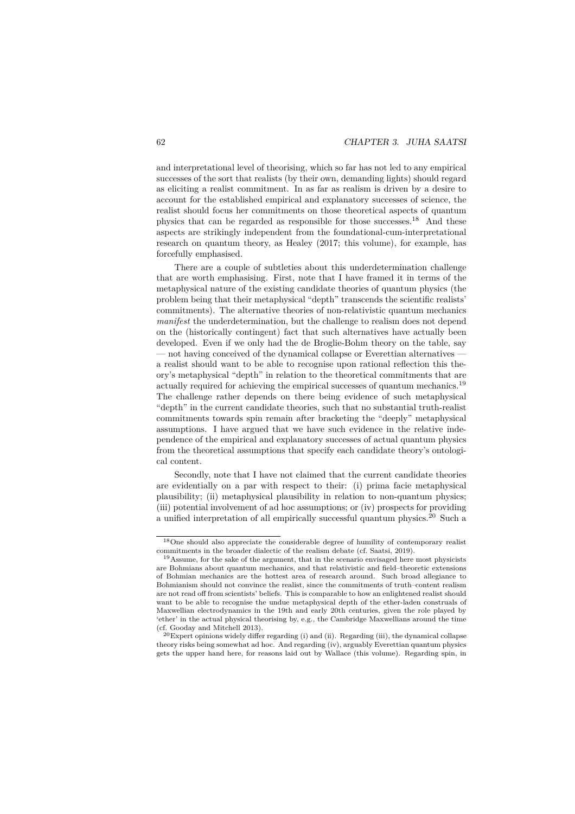and interpretational level of theorising, which so far has not led to any empirical successes of the sort that realists (by their own, demanding lights) should regard as eliciting a realist commitment. In as far as realism is driven by a desire to account for the established empirical and explanatory successes of science, the realist should focus her commitments on those theoretical aspects of quantum physics that can be regarded as responsible for those successes.<sup>18</sup> And these aspects are strikingly independent from the foundational-cum-interpretational research on quantum theory, as Healey (2017; this volume), for example, has forcefully emphasised.

There are a couple of subtleties about this underdetermination challenge that are worth emphasising. First, note that I have framed it in terms of the metaphysical nature of the existing candidate theories of quantum physics (the problem being that their metaphysical "depth" transcends the scientific realists' commitments). The alternative theories of non-relativistic quantum mechanics *manifest* the underdetermination, but the challenge to realism does not depend on the (historically contingent) fact that such alternatives have actually been developed. Even if we only had the de Broglie-Bohm theory on the table, say — not having conceived of the dynamical collapse or Everettian alternatives a realist should want to be able to recognise upon rational reflection this theory's metaphysical "depth" in relation to the theoretical commitments that are actually required for achieving the empirical successes of quantum mechanics.<sup>19</sup> The challenge rather depends on there being evidence of such metaphysical "depth" in the current candidate theories, such that no substantial truth-realist commitments towards spin remain after bracketing the "deeply" metaphysical assumptions. I have argued that we have such evidence in the relative independence of the empirical and explanatory successes of actual quantum physics from the theoretical assumptions that specify each candidate theory's ontological content.

Secondly, note that I have not claimed that the current candidate theories are evidentially on a par with respect to their: (i) prima facie metaphysical plausibility; (ii) metaphysical plausibility in relation to non-quantum physics; (iii) potential involvement of ad hoc assumptions; or (iv) prospects for providing a unified interpretation of all empirically successful quantum physics.<sup>20</sup> Such a

 $^{18}\mathrm{One}$  should also appreciate the considerable degree of humility of contemporary realist commitments in the broader dialectic of the realism debate (cf. Saatsi, 2019).

<sup>19</sup>Assume, for the sake of the argument, that in the scenario envisaged here most physicists are Bohmians about quantum mechanics, and that relativistic and field–theoretic extensions of Bohmian mechanics are the hottest area of research around. Such broad allegiance to Bohmianism should not convince the realist, since the commitments of truth–content realism are not read off from scientists' beliefs. This is comparable to how an enlightened realist should want to be able to recognise the undue metaphysical depth of the ether-laden construals of Maxwellian electrodynamics in the 19th and early 20th centuries, given the role played by 'ether' in the actual physical theorising by, e.g., the Cambridge Maxwellians around the time (cf. Gooday and Mitchell 2013).

 $^{20}$ Expert opinions widely differ regarding (i) and (ii). Regarding (iii), the dynamical collapse theory risks being somewhat ad hoc. And regarding (iv), arguably Everettian quantum physics gets the upper hand here, for reasons laid out by Wallace (this volume). Regarding spin, in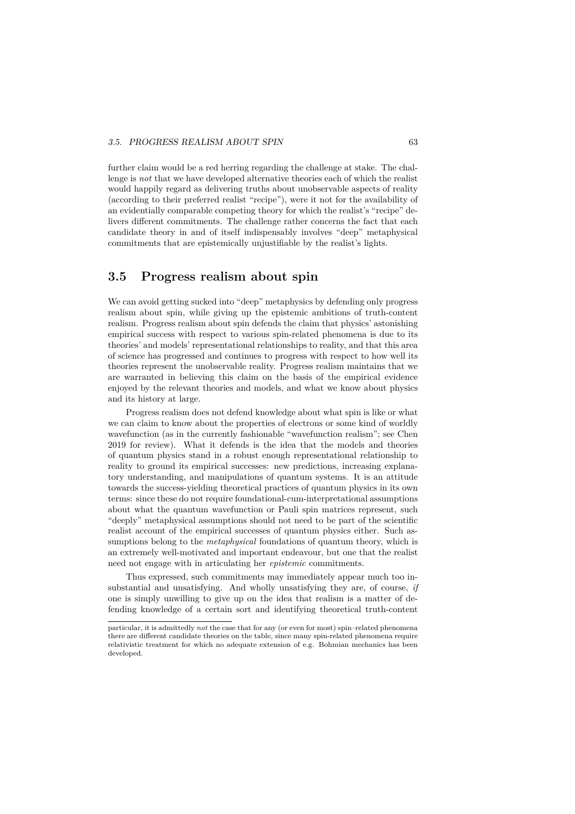further claim would be a red herring regarding the challenge at stake. The challenge is *not* that we have developed alternative theories each of which the realist would happily regard as delivering truths about unobservable aspects of reality (according to their preferred realist "recipe"), were it not for the availability of an evidentially comparable competing theory for which the realist's "recipe" delivers different commitments. The challenge rather concerns the fact that each candidate theory in and of itself indispensably involves "deep" metaphysical commitments that are epistemically unjustifiable by the realist's lights.

# **3.5 Progress realism about spin**

We can avoid getting sucked into "deep" metaphysics by defending only progress realism about spin, while giving up the epistemic ambitions of truth-content realism. Progress realism about spin defends the claim that physics' astonishing empirical success with respect to various spin-related phenomena is due to its theories' and models' representational relationships to reality, and that this area of science has progressed and continues to progress with respect to how well its theories represent the unobservable reality. Progress realism maintains that we are warranted in believing this claim on the basis of the empirical evidence enjoyed by the relevant theories and models, and what we know about physics and its history at large.

Progress realism does not defend knowledge about what spin is like or what we can claim to know about the properties of electrons or some kind of worldly wavefunction (as in the currently fashionable "wavefunction realism"; see Chen 2019 for review). What it defends is the idea that the models and theories of quantum physics stand in a robust enough representational relationship to reality to ground its empirical successes: new predictions, increasing explanatory understanding, and manipulations of quantum systems. It is an attitude towards the success-yielding theoretical practices of quantum physics in its own terms: since these do not require foundational-cum-interpretational assumptions about what the quantum wavefunction or Pauli spin matrices represent, such "deeply" metaphysical assumptions should not need to be part of the scientific realist account of the empirical successes of quantum physics either. Such assumptions belong to the *metaphysical* foundations of quantum theory, which is an extremely well-motivated and important endeavour, but one that the realist need not engage with in articulating her *epistemic* commitments.

Thus expressed, such commitments may immediately appear much too insubstantial and unsatisfying. And wholly unsatisfying they are, of course, *if* one is simply unwilling to give up on the idea that realism is a matter of defending knowledge of a certain sort and identifying theoretical truth-content

particular, it is admittedly *not* the case that for any (or even for most) spin–related phenomena there are different candidate theories on the table, since many spin-related phenomena require relativistic treatment for which no adequate extension of e.g. Bohmian mechanics has been developed.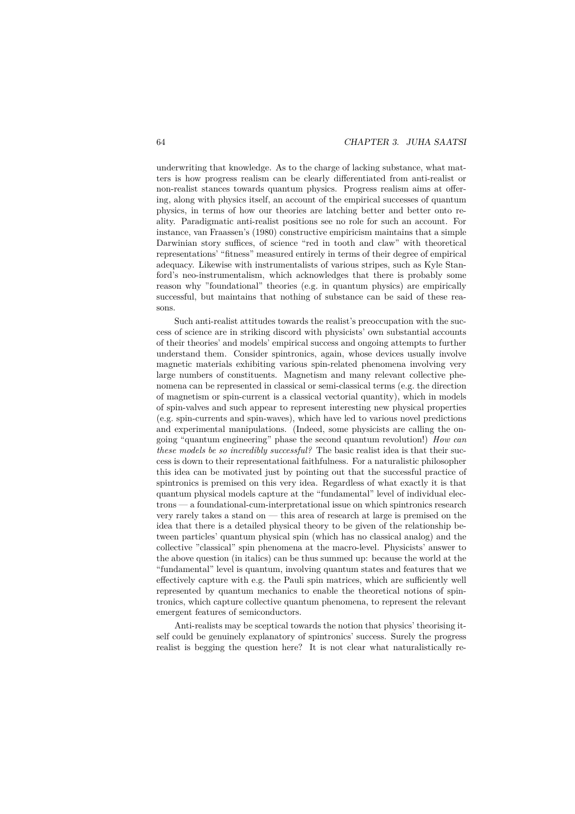underwriting that knowledge. As to the charge of lacking substance, what matters is how progress realism can be clearly differentiated from anti-realist or non-realist stances towards quantum physics. Progress realism aims at offering, along with physics itself, an account of the empirical successes of quantum physics, in terms of how our theories are latching better and better onto reality. Paradigmatic anti-realist positions see no role for such an account. For instance, van Fraassen's (1980) constructive empiricism maintains that a simple Darwinian story suffices, of science "red in tooth and claw" with theoretical representations' "fitness" measured entirely in terms of their degree of empirical adequacy. Likewise with instrumentalists of various stripes, such as Kyle Stanford's neo-instrumentalism, which acknowledges that there is probably some reason why "foundational" theories (e.g. in quantum physics) are empirically successful, but maintains that nothing of substance can be said of these reasons.

Such anti-realist attitudes towards the realist's preoccupation with the success of science are in striking discord with physicists' own substantial accounts of their theories' and models' empirical success and ongoing attempts to further understand them. Consider spintronics, again, whose devices usually involve magnetic materials exhibiting various spin-related phenomena involving very large numbers of constituents. Magnetism and many relevant collective phenomena can be represented in classical or semi-classical terms (e.g. the direction of magnetism or spin-current is a classical vectorial quantity), which in models of spin-valves and such appear to represent interesting new physical properties (e.g. spin-currents and spin-waves), which have led to various novel predictions and experimental manipulations. (Indeed, some physicists are calling the ongoing "quantum engineering" phase the second quantum revolution!) *How can these models be so incredibly successful?* The basic realist idea is that their success is down to their representational faithfulness. For a naturalistic philosopher this idea can be motivated just by pointing out that the successful practice of spintronics is premised on this very idea. Regardless of what exactly it is that quantum physical models capture at the "fundamental" level of individual electrons — a foundational-cum-interpretational issue on which spintronics research very rarely takes a stand on — this area of research at large is premised on the idea that there is a detailed physical theory to be given of the relationship between particles' quantum physical spin (which has no classical analog) and the collective "classical" spin phenomena at the macro-level. Physicists' answer to the above question (in italics) can be thus summed up: because the world at the "fundamental" level is quantum, involving quantum states and features that we effectively capture with e.g. the Pauli spin matrices, which are sufficiently well represented by quantum mechanics to enable the theoretical notions of spintronics, which capture collective quantum phenomena, to represent the relevant emergent features of semiconductors.

Anti-realists may be sceptical towards the notion that physics' theorising itself could be genuinely explanatory of spintronics' success. Surely the progress realist is begging the question here? It is not clear what naturalistically re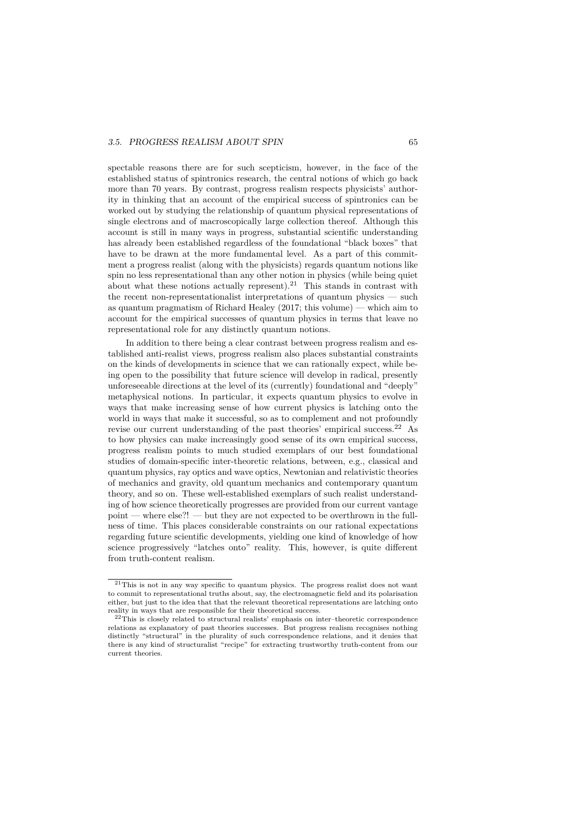spectable reasons there are for such scepticism, however, in the face of the established status of spintronics research, the central notions of which go back more than 70 years. By contrast, progress realism respects physicists' authority in thinking that an account of the empirical success of spintronics can be worked out by studying the relationship of quantum physical representations of single electrons and of macroscopically large collection thereof. Although this account is still in many ways in progress, substantial scientific understanding has already been established regardless of the foundational "black boxes" that have to be drawn at the more fundamental level. As a part of this commitment a progress realist (along with the physicists) regards quantum notions like spin no less representational than any other notion in physics (while being quiet about what these notions actually represent).<sup>21</sup> This stands in contrast with the recent non-representationalist interpretations of quantum physics — such as quantum pragmatism of Richard Healey (2017; this volume) — which aim to account for the empirical successes of quantum physics in terms that leave no representational role for any distinctly quantum notions.

In addition to there being a clear contrast between progress realism and established anti-realist views, progress realism also places substantial constraints on the kinds of developments in science that we can rationally expect, while being open to the possibility that future science will develop in radical, presently unforeseeable directions at the level of its (currently) foundational and "deeply" metaphysical notions. In particular, it expects quantum physics to evolve in ways that make increasing sense of how current physics is latching onto the world in ways that make it successful, so as to complement and not profoundly revise our current understanding of the past theories' empirical success.<sup>22</sup> As to how physics can make increasingly good sense of its own empirical success, progress realism points to much studied exemplars of our best foundational studies of domain-specific inter-theoretic relations, between, e.g., classical and quantum physics, ray optics and wave optics, Newtonian and relativistic theories of mechanics and gravity, old quantum mechanics and contemporary quantum theory, and so on. These well-established exemplars of such realist understanding of how science theoretically progresses are provided from our current vantage point — where else?! — but they are not expected to be overthrown in the fullness of time. This places considerable constraints on our rational expectations regarding future scientific developments, yielding one kind of knowledge of how science progressively "latches onto" reality. This, however, is quite different from truth-content realism.

<sup>&</sup>lt;sup>21</sup>This is not in any way specific to quantum physics. The progress realist does not want to commit to representational truths about, say, the electromagnetic field and its polarisation either, but just to the idea that that the relevant theoretical representations are latching onto reality in ways that are responsible for their theoretical success.

<sup>&</sup>lt;sup>22</sup>This is closely related to structural realists' emphasis on inter-theoretic correspondence relations as explanatory of past theories successes. But progress realism recognises nothing distinctly "structural" in the plurality of such correspondence relations, and it denies that there is any kind of structuralist "recipe" for extracting trustworthy truth-content from our current theories.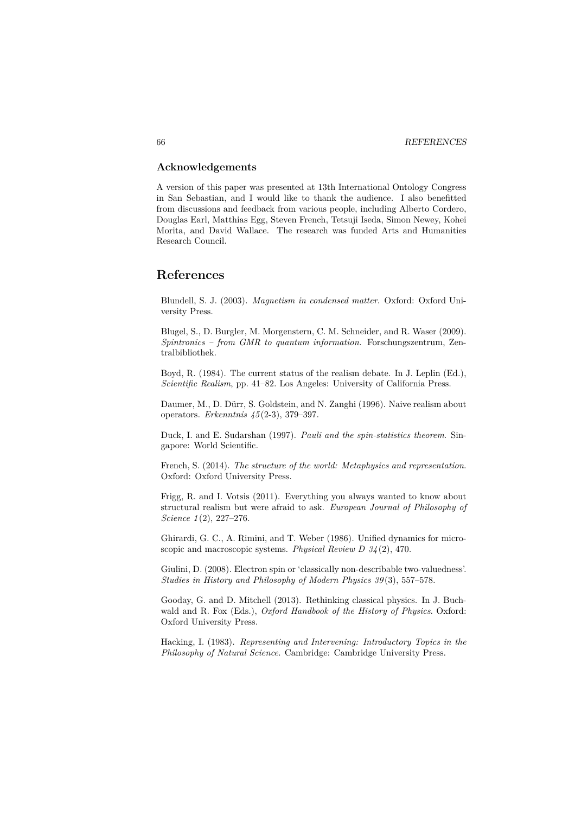#### **Acknowledgements**

A version of this paper was presented at 13th International Ontology Congress in San Sebastian, and I would like to thank the audience. I also benefitted from discussions and feedback from various people, including Alberto Cordero, Douglas Earl, Matthias Egg, Steven French, Tetsuji Iseda, Simon Newey, Kohei Morita, and David Wallace. The research was funded Arts and Humanities Research Council.

### **References**

Blundell, S. J. (2003). *Magnetism in condensed matter*. Oxford: Oxford University Press.

Blugel, S., D. Burgler, M. Morgenstern, C. M. Schneider, and R. Waser (2009). *Spintronics – from GMR to quantum information*. Forschungszentrum, Zentralbibliothek.

Boyd, R. (1984). The current status of the realism debate. In J. Leplin (Ed.), *Scientific Realism*, pp. 41–82. Los Angeles: University of California Press.

Daumer, M., D. Dürr, S. Goldstein, and N. Zanghi (1996). Naive realism about operators. *Erkenntnis 45* (2-3), 379–397.

Duck, I. and E. Sudarshan (1997). *Pauli and the spin-statistics theorem*. Singapore: World Scientific.

French, S. (2014). *The structure of the world: Metaphysics and representation*. Oxford: Oxford University Press.

Frigg, R. and I. Votsis (2011). Everything you always wanted to know about structural realism but were afraid to ask. *European Journal of Philosophy of Science 1* (2), 227–276.

Ghirardi, G. C., A. Rimini, and T. Weber (1986). Unified dynamics for microscopic and macroscopic systems. *Physical Review D 34* (2), 470.

Giulini, D. (2008). Electron spin or 'classically non-describable two-valuedness'. *Studies in History and Philosophy of Modern Physics 39* (3), 557–578.

Gooday, G. and D. Mitchell (2013). Rethinking classical physics. In J. Buchwald and R. Fox (Eds.), *Oxford Handbook of the History of Physics*. Oxford: Oxford University Press.

Hacking, I. (1983). *Representing and Intervening: Introductory Topics in the Philosophy of Natural Science*. Cambridge: Cambridge University Press.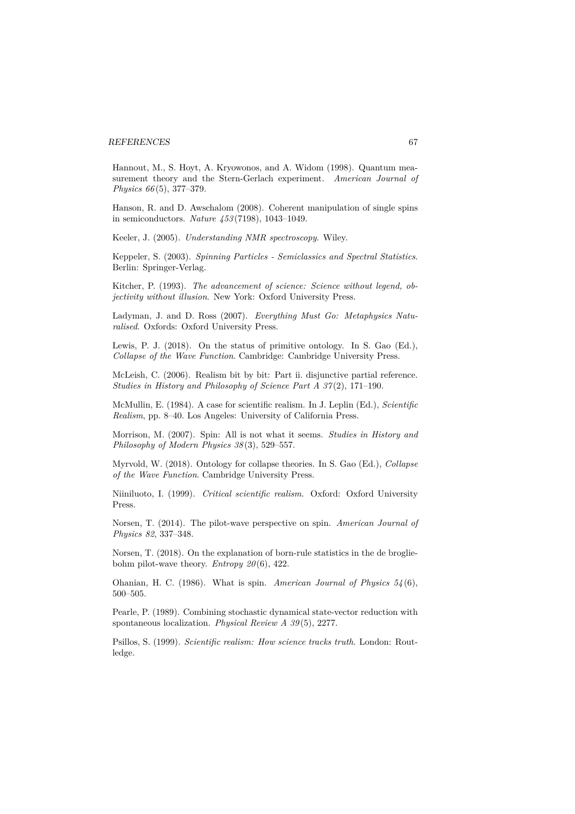#### *REFERENCES* 67

Hannout, M., S. Hoyt, A. Kryowonos, and A. Widom (1998). Quantum measurement theory and the Stern-Gerlach experiment. *American Journal of Physics 66* (5), 377–379.

Hanson, R. and D. Awschalom (2008). Coherent manipulation of single spins in semiconductors. *Nature 453* (7198), 1043–1049.

Keeler, J. (2005). *Understanding NMR spectroscopy*. Wiley.

Keppeler, S. (2003). *Spinning Particles - Semiclassics and Spectral Statistics*. Berlin: Springer-Verlag.

Kitcher, P. (1993). *The advancement of science: Science without legend, objectivity without illusion*. New York: Oxford University Press.

Ladyman, J. and D. Ross (2007). *Everything Must Go: Metaphysics Naturalised*. Oxfords: Oxford University Press.

Lewis, P. J. (2018). On the status of primitive ontology. In S. Gao (Ed.), *Collapse of the Wave Function*. Cambridge: Cambridge University Press.

McLeish, C. (2006). Realism bit by bit: Part ii. disjunctive partial reference. *Studies in History and Philosophy of Science Part A 37* (2), 171–190.

McMullin, E. (1984). A case for scientific realism. In J. Leplin (Ed.), *Scientific Realism*, pp. 8–40. Los Angeles: University of California Press.

Morrison, M. (2007). Spin: All is not what it seems. *Studies in History and Philosophy of Modern Physics 38* (3), 529–557.

Myrvold, W. (2018). Ontology for collapse theories. In S. Gao (Ed.), *Collapse of the Wave Function*. Cambridge University Press.

Niiniluoto, I. (1999). *Critical scientific realism*. Oxford: Oxford University Press.

Norsen, T. (2014). The pilot-wave perspective on spin. *American Journal of Physics 82*, 337–348.

Norsen, T. (2018). On the explanation of born-rule statistics in the de brogliebohm pilot-wave theory. *Entropy 20* (6), 422.

Ohanian, H. C. (1986). What is spin. *American Journal of Physics 54* (6), 500–505.

Pearle, P. (1989). Combining stochastic dynamical state-vector reduction with spontaneous localization. *Physical Review A 39* (5), 2277.

Psillos, S. (1999). *Scientific realism: How science tracks truth*. London: Routledge.